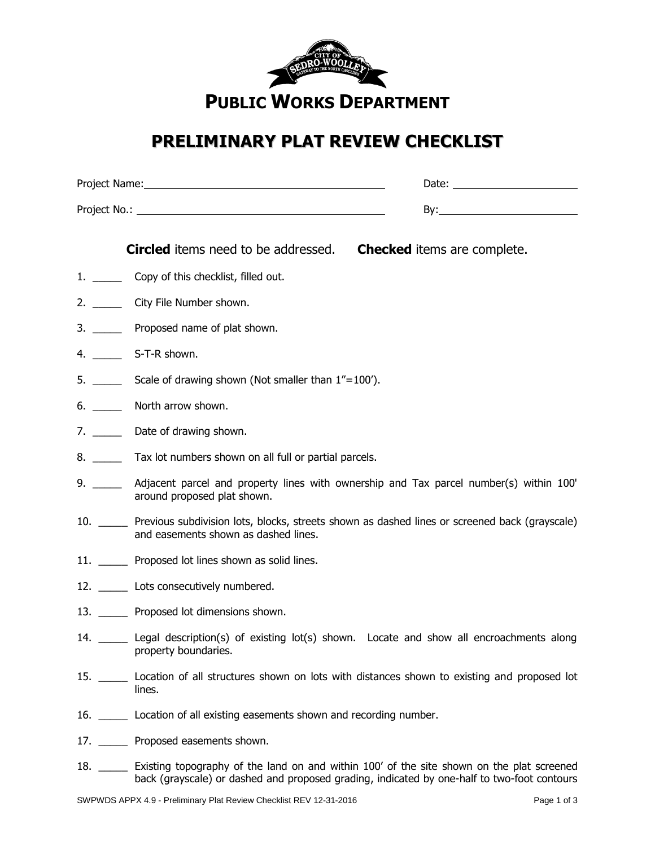

## **PRELIMINARY PLAT REVIEW CHECKLIST**

| <b>Circled</b> items need to be addressed.                                                                                                       | <b>Checked</b> items are complete. |
|--------------------------------------------------------------------------------------------------------------------------------------------------|------------------------------------|
| 1. ________ Copy of this checklist, filled out.                                                                                                  |                                    |
| 2. ________ City File Number shown.                                                                                                              |                                    |
| 3. _______ Proposed name of plat shown.                                                                                                          |                                    |
| S-T-R shown.                                                                                                                                     |                                    |
| Scale of drawing shown (Not smaller than 1"=100").                                                                                               |                                    |
| North arrow shown.                                                                                                                               |                                    |
| 7. $\qquad$<br>Date of drawing shown.                                                                                                            |                                    |
| 8. _______ Tax lot numbers shown on all full or partial parcels.                                                                                 |                                    |
| Adjacent parcel and property lines with ownership and Tax parcel number(s) within 100'<br>around proposed plat shown.                            |                                    |
| 10. ______ Previous subdivision lots, blocks, streets shown as dashed lines or screened back (grayscale)<br>and easements shown as dashed lines. |                                    |
| 11. _______ Proposed lot lines shown as solid lines.                                                                                             |                                    |
| 12. _______ Lots consecutively numbered.                                                                                                         |                                    |
| 13. Proposed lot dimensions shown.                                                                                                               |                                    |
| 14. Legal description(s) of existing lot(s) shown. Locate and show all encroachments along<br>property boundaries.                               |                                    |
| 15. ________ Location of all structures shown on lots with distances shown to existing and proposed lot<br>lines.                                |                                    |
| 16. Location of all existing easements shown and recording number.                                                                               |                                    |
| 17. Proposed easements shown.                                                                                                                    |                                    |
|                                                                                                                                                  |                                    |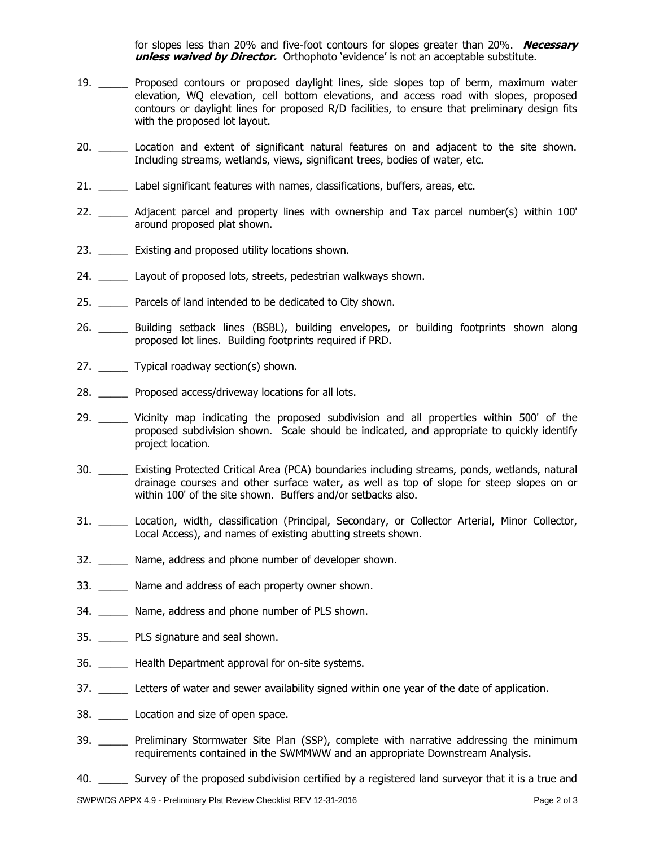for slopes less than 20% and five-foot contours for slopes greater than 20%. **Necessary unless waived by Director.** Orthophoto 'evidence' is not an acceptable substitute.

- 19. \_\_\_\_\_ Proposed contours or proposed daylight lines, side slopes top of berm, maximum water elevation, WQ elevation, cell bottom elevations, and access road with slopes, proposed contours or daylight lines for proposed R/D facilities, to ensure that preliminary design fits with the proposed lot layout.
- 20. \_\_\_\_\_\_ Location and extent of significant natural features on and adjacent to the site shown. Including streams, wetlands, views, significant trees, bodies of water, etc.
- 21. \_\_\_\_\_ Label significant features with names, classifications, buffers, areas, etc.
- 22. \_\_\_\_\_ Adjacent parcel and property lines with ownership and Tax parcel number(s) within 100' around proposed plat shown.
- 23. Existing and proposed utility locations shown.
- 24. Layout of proposed lots, streets, pedestrian walkways shown.
- 25. \_\_\_\_\_ Parcels of land intended to be dedicated to City shown.
- 26. \_\_\_\_\_\_ Building setback lines (BSBL), building envelopes, or building footprints shown along proposed lot lines. Building footprints required if PRD.
- 27. Typical roadway section(s) shown.
- 28. Proposed access/driveway locations for all lots.
- 29. \_\_\_\_\_\_ Vicinity map indicating the proposed subdivision and all properties within 500' of the proposed subdivision shown. Scale should be indicated, and appropriate to quickly identify project location.
- 30. \_\_\_\_\_ Existing Protected Critical Area (PCA) boundaries including streams, ponds, wetlands, natural drainage courses and other surface water, as well as top of slope for steep slopes on or within 100' of the site shown. Buffers and/or setbacks also.
- 31. \_\_\_\_\_ Location, width, classification (Principal, Secondary, or Collector Arterial, Minor Collector, Local Access), and names of existing abutting streets shown.
- 32. \_\_\_\_\_ Name, address and phone number of developer shown.
- 33. Name and address of each property owner shown.
- 34. Name, address and phone number of PLS shown.
- 35. \_\_\_\_\_ PLS signature and seal shown.
- 36. \_\_\_\_\_ Health Department approval for on-site systems.
- 37. Letters of water and sewer availability signed within one year of the date of application.
- 38. \_\_\_\_\_ Location and size of open space.
- 39. \_\_\_\_\_ Preliminary Stormwater Site Plan (SSP), complete with narrative addressing the minimum requirements contained in the SWMMWW and an appropriate Downstream Analysis.
- 40. \_\_\_\_\_ Survey of the proposed subdivision certified by a registered land surveyor that it is a true and